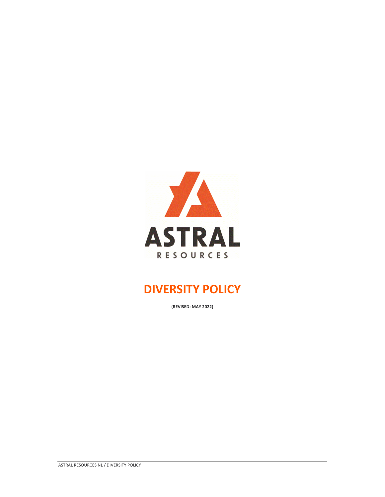

## **DIVERSITY POLICY**

**(REVISED: MAY 2022)**

ASTRAL RESOURCES NL / DIVERSITY POLICY